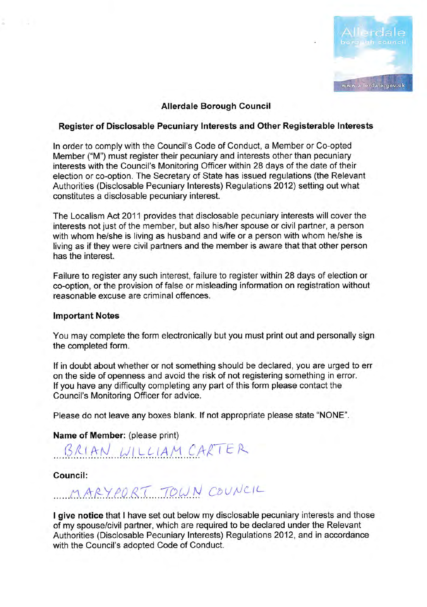

# Allerdale Borough Gouncil

# Register of Disclosable Pecuniary lnterests and Other Registerable lnterests

In order to comply with the Council's Code of Conduct, a Member or Co-opted Member ("M") must register their pecuniary and interests other than pecuniary interests with the Council's Monitoring Officer within 28 days of the date of their election or co-option. The Secretary of State has issued regulations (the Relevant Authorities (Disclosable Pecuniary lnterests) Regulations 2012) setting out what constitutes a disclosable pecuniary interest.

The Localism Act 2011 provides that disclosable pecuniary interests will cover the interests not just of the member, but also his/her spouse or civil partner, a person with whom he/she is living as husband and wife or a person with whom he/she is living as if they were civil partners and the member is aware that that other person has the interest.

Failure to register any such interest, failure to register within 28 days of election or co-option, or the provision of false or misleading information on registration without reasonable excuse are criminal offences.

### lmportant Notes

Ξ

 $\sim$ 

You may complete the form electronically but you must print out and personally sign the completed form.

lf in doubt about whether or not something should be declared, you are urged to err on the side of openness and avoid the risk of not registering something in error. lf you have any difficulty completing any part of this form please contact the Council's Monitoring Officer for advice.

Please do not leave any boxes blank. lf not appropriate please state "NONE".

Name of Member: (please print)

BRIAN WILLIAM CARTER

Council:

MARY PORT TOWN COUNCIL

I give notice that I have set out below my disclosable pecuniary interests and those of my spouse/civil partner, which are required to be declared under the Relevant Authorities (Disclosable Pecuniary lnterests) Regulations 2012, and in accordance with the Council's adopted Code of Conduct.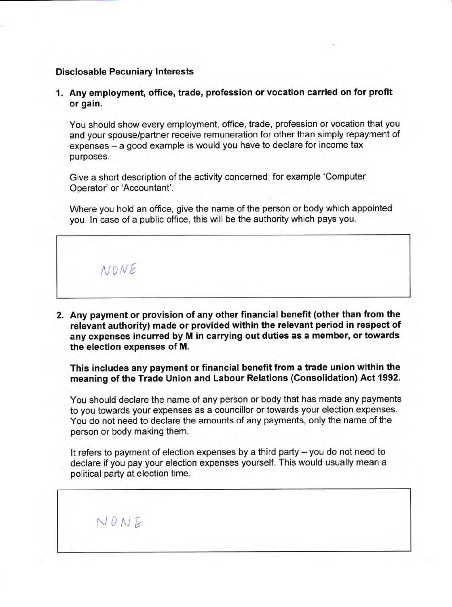#### Disclosable Pecuniary Interests

1. Any employment, office, trade, profession or vocation carried on for profit or gain.

You should show every employment, office, trade, profession or vocation that you and your spouse/partner receive remuneration for other than simply repayment of expenses - a good example is would you have to declare for income tax purposes.

Give a short description of the activity concerned; for example 'Computer Operator' or'Accountant'.

Where you hold an office, give the name of the person or body which appointed you. ln case of a public office, this will be the authority which pays you.



2. Any payment or provision of any other financial benefit (other than from the relevant authority) made or provided within the relevant period in respect of any expenses incurred by M in carrying out duties as a member, or towards the election expenses of M.

This includes any payment or financial benefit from a trade union within the meaning of the Trade Union and Labour Relations (Consolidation) Act 1992.

You should declare the name of any person or body that has made any payments to you towards your expenses as a councillor or towards your election expenses. You do not need to declare the amounts of any payments, only the name of the person or body making them.

It refers to payment of election expenses by a third party  $-$  you do not need to declare if you pay your election expenses yourself. This would usually mean a political party at election time.

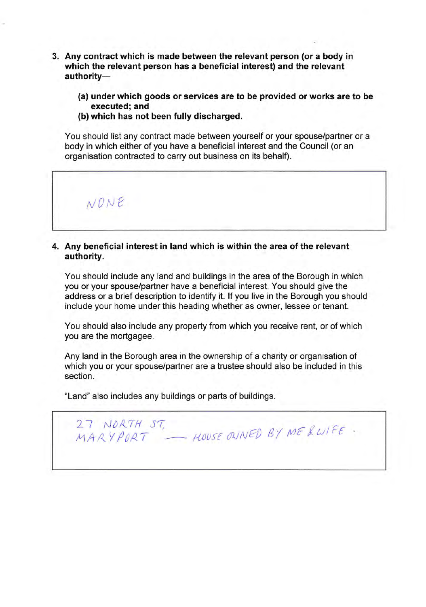- 3. Any contract which is made between the relevant person (or a body in which the relevant person has a beneficial interest) and the relevant authority-
	- (a) under which goods or services are to be provided or works are to be executed; and
	- (b) which has not been fully discharged.

You should list any contract made between yourself or your spouse/partner or a body in which either of you have a beneficial interest and the Council (or an organisation contracted to carry out business on its behalf).

27 NORTH ST,

NONE

# 4. Any beneficial interest in land which is within the area of the relevant authority.

You should include any land and buildings in the area of the Borough in which you or your spouse/partner have a beneficial interest. You should give the address or a brief description to identify it. lf you live in the Borough you should include your home under this heading whether as owner, lessee or tenant.

You should also include any property from which you receive rent, or of which you are the mortgagee.

Any land in the Borough area in the ownership of a charity or organisation of which you or your spouse/partner are a trustee should also be included in this section.

 $U$  NORTH SI,<br>MARY PORT — HOUSE ONNED BY ME & WIFE

"Land" also includes any buildings or parts of buildings.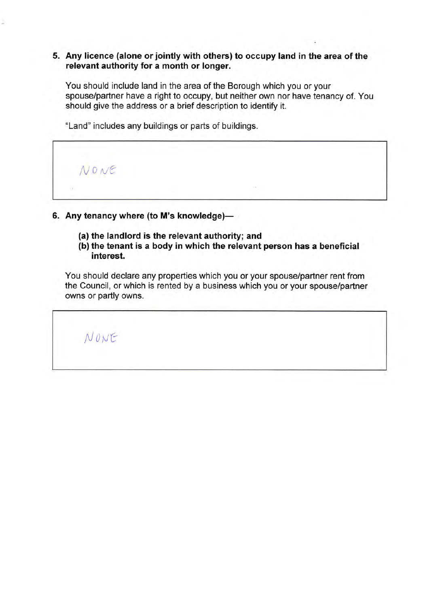# 5. Any licence (alone or jointly with others) to occupy land in the area of the relevant authority for a month or longer.

You should include land in the area of the Borough which you or your spouse/partner have a right to occupy, but neither own nor have tenancy of. You should give the address or a brief description to identify it.

"Land" includes any buildings or parts of buildings.



- 6. Any tenancy where (to M's knowledge)-
	- (a) the landlord is the relevant authority; and
	- (b) the tenant is a body in which the relevant person has a beneficial interest.

You should declare any properties which you or your spouse/partner rent from the Council, or which is rented by a business which you or your spouse/partner owns or partly owns.

N ONE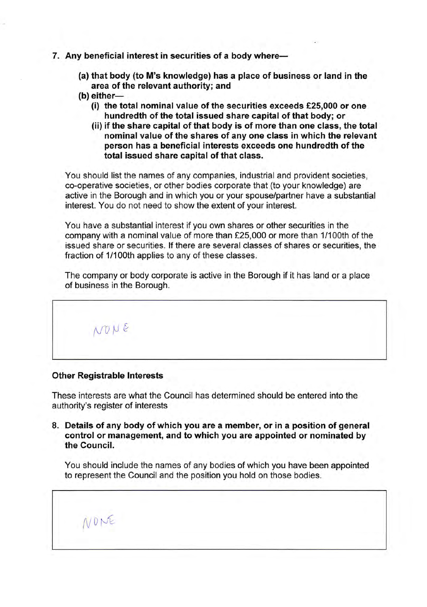- 7. Any beneficial interest in securities of a body where-
	- (a) that body (to M's knowledge) has a place of business or land in the area of the relevant authority; and
	- $(b)$  either-
		- (i) the total nominal value of the securities exceeds  $£25,000$  or one hundredth of the total issued share capital of that body; or
		- (ii) if the share capital of that body is of more than one class, the total nominal value of the shares of any one class in which the relevant person has a beneficial interests exceeds one hundredth of the total issued share capital of that class.

You should list the names of any companies, industrial and provident societies, co-operative societies, or other bodies corporate that (to your knowledge) are active in the Borough and in which you or your spouse/partner have a substantial interest. You do not need to show the extent of your interest.

You have a substantial interest if you own shares or other securities in the company with a nominal value of more than £25,000 or more than 1/100th of the issued share or securities. lf there are several classes of shares or securities, the fraction of 1/100th applies to any of these classes.

The company or body corporate is active in the Borough if it has land or a place of business in the Borough.

vop <sup>E</sup>

### Other Registrable Interests

/VDN€

These interests are what the Council has determined should be entered into the authority's register of interests

8. Details of any body of which you are a member, or in a position of general control or management, and to which you are appointed or nominated by the Council.

You should include the names of any bodies of which you have been appointed to represent the Council and the position you hold on those bodies.